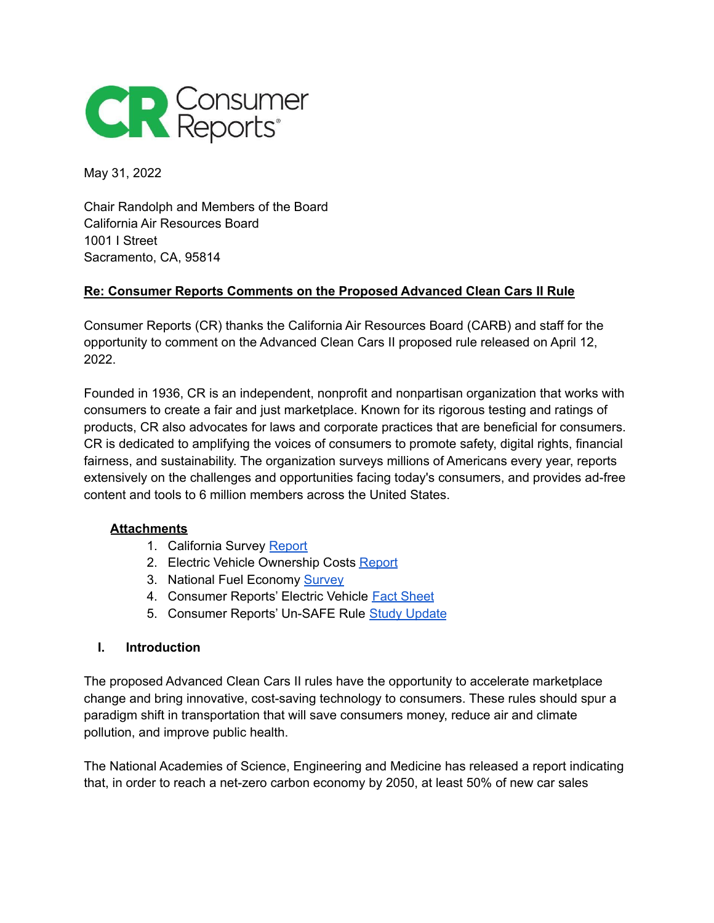

May 31, 2022

Chair Randolph and Members of the Board California Air Resources Board 1001 I Street Sacramento, CA, 95814

#### **Re: Consumer Reports Comments on the Proposed Advanced Clean Cars II Rule**

Consumer Reports (CR) thanks the California Air Resources Board (CARB) and staff for the opportunity to comment on the Advanced Clean Cars II proposed rule released on April 12, 2022.

Founded in 1936, CR is an independent, nonprofit and nonpartisan organization that works with consumers to create a fair and just marketplace. Known for its rigorous testing and ratings of products, CR also advocates for laws and corporate practices that are beneficial for consumers. CR is dedicated to amplifying the voices of consumers to promote safety, digital rights, financial fairness, and sustainability. The organization surveys millions of Americans every year, reports extensively on the challenges and opportunities facing today's consumers, and provides ad-free content and tools to 6 million members across the United States.

#### **Attachments**

- 1. California Survey [Report](https://advocacy.consumerreports.org/wp-content/uploads/2021/03/California-EV-FE-Survey-Report-3.8.21.pdf)
- 2. Electric Vehicle Ownership Costs [Report](https://advocacy.consumerreports.org/wp-content/uploads/2020/10/EV-Ownership-Cost-Final-Report-1.pdf)
- 3. National Fuel Economy [Survey](https://advocacy.consumerreports.org/press_release/consumer-reports-survey-drivers-want-better-fuel-economy-a-majority-say-automakers-have-a-responsibility-to-do-better/)
- 4. Consumer Reports' Electric Vehicle Fact [Sheet](https://advocacy.consumerreports.org/wp-content/uploads/2019/09/EV101-Consumer-Reports-Fact-Sheet.pdf)
- 5. Consumer Reports' Un-SAFE Rule Study [Update](https://advocacy.consumerreports.org/wp-content/uploads/2019/11/UnSAFE-Addendum-11.13.19.pdf)

#### **I. Introduction**

The proposed Advanced Clean Cars II rules have the opportunity to accelerate marketplace change and bring innovative, cost-saving technology to consumers. These rules should spur a paradigm shift in transportation that will save consumers money, reduce air and climate pollution, and improve public health.

The National Academies of Science, Engineering and Medicine has released a report indicating that, in order to reach a net-zero carbon economy by 2050, at least 50% of new car sales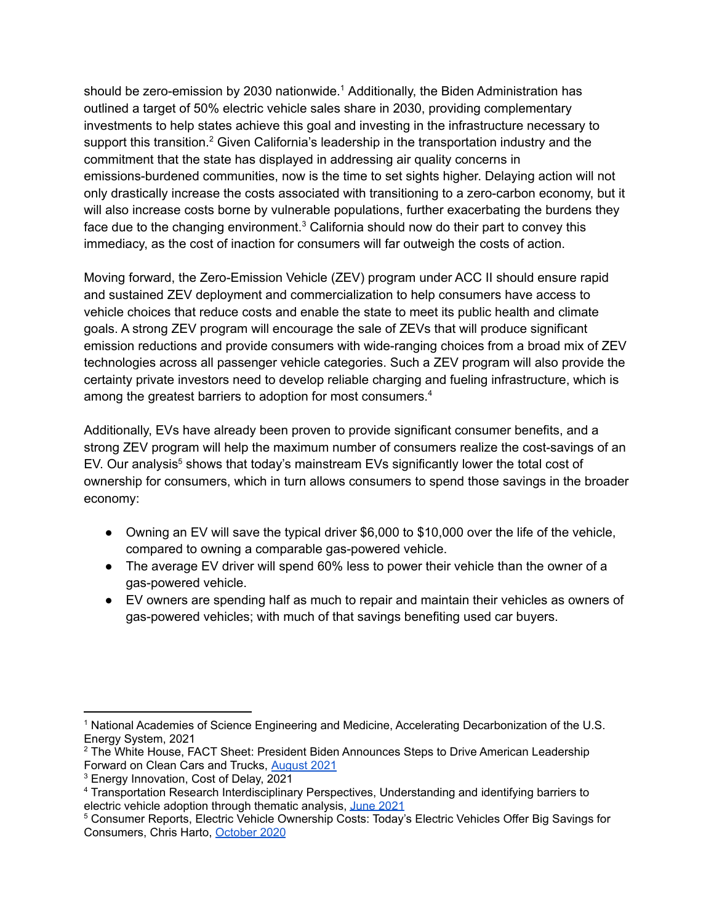should be zero-emission by 2030 nationwide.<sup>1</sup> Additionally, the Biden Administration has outlined a target of 50% electric vehicle sales share in 2030, providing complementary investments to help states achieve this goal and investing in the infrastructure necessary to support this transition.<sup>2</sup> Given California's leadership in the transportation industry and the commitment that the state has displayed in addressing air quality concerns in emissions-burdened communities, now is the time to set sights higher. Delaying action will not only drastically increase the costs associated with transitioning to a zero-carbon economy, but it will also increase costs borne by vulnerable populations, further exacerbating the burdens they face due to the changing environment. $3$  California should now do their part to convey this immediacy, as the cost of inaction for consumers will far outweigh the costs of action.

Moving forward, the Zero-Emission Vehicle (ZEV) program under ACC II should ensure rapid and sustained ZEV deployment and commercialization to help consumers have access to vehicle choices that reduce costs and enable the state to meet its public health and climate goals. A strong ZEV program will encourage the sale of ZEVs that will produce significant emission reductions and provide consumers with wide-ranging choices from a broad mix of ZEV technologies across all passenger vehicle categories. Such a ZEV program will also provide the certainty private investors need to develop reliable charging and fueling infrastructure, which is among the greatest barriers to adoption for most consumers.<sup>4</sup>

Additionally, EVs have already been proven to provide significant consumer benefits, and a strong ZEV program will help the maximum number of consumers realize the cost-savings of an EV. Our analysis<sup>5</sup> shows that today's mainstream EVs significantly lower the total cost of ownership for consumers, which in turn allows consumers to spend those savings in the broader economy:

- Owning an EV will save the typical driver \$6,000 to \$10,000 over the life of the vehicle, compared to owning a comparable gas-powered vehicle.
- The average EV driver will spend 60% less to power their vehicle than the owner of a gas-powered vehicle.
- EV owners are spending half as much to repair and maintain their vehicles as owners of gas-powered vehicles; with much of that savings benefiting used car buyers.

<sup>&</sup>lt;sup>1</sup> National Academies of Science Engineering and Medicine, Accelerating Decarbonization of the U.S. Energy System, 2021

<sup>&</sup>lt;sup>2</sup> The White House, FACT Sheet: President Biden Announces Steps to Drive American Leadership Forward on Clean Cars and Trucks, [August](https://www.whitehouse.gov/briefing-room/statements-releases/2021/08/05/fact-sheet-president-biden-announces-steps-to-drive-american-leadership-forward-on-clean-cars-and-trucks/) 2021

<sup>3</sup> Energy Innovation, Cost of Delay, 2021

<sup>4</sup> Transportation Research Interdisciplinary Perspectives, Understanding and identifying barriers to electric vehicle adoption through thematic analysis, June [2021](https://www.sciencedirect.com/science/article/pii/S2590198221000713)

<sup>5</sup> Consumer Reports, Electric Vehicle Ownership Costs: Today's Electric Vehicles Offer Big Savings for Consumers, Chris Harto, [October](https://advocacy.consumerreports.org/wp-content/uploads/2020/10/EV-Ownership-Cost-Final-Report-1.pdf) 2020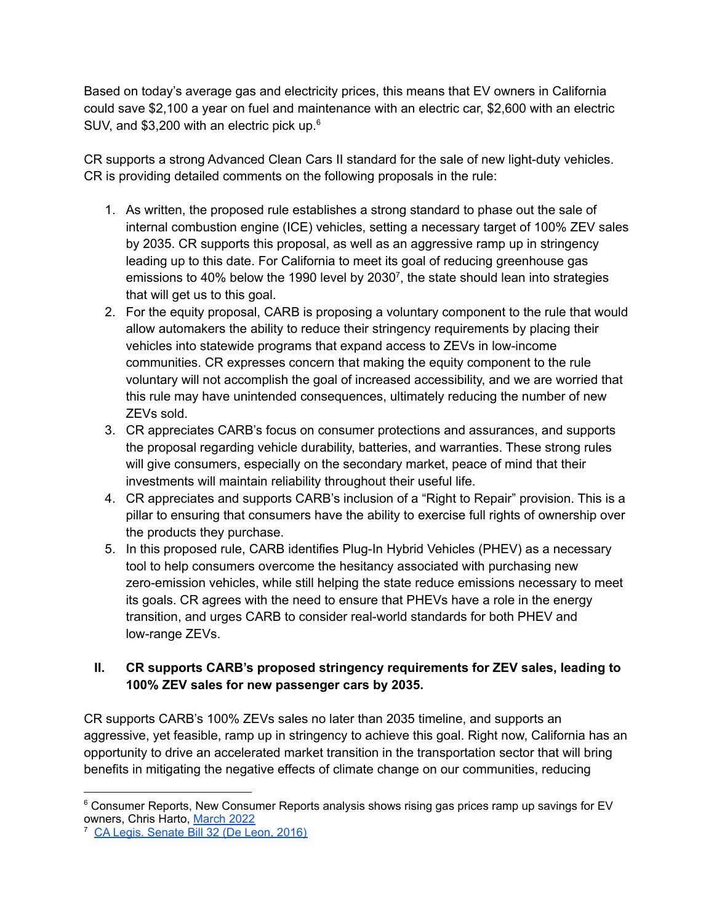Based on today's average gas and electricity prices, this means that EV owners in California could save \$2,100 a year on fuel and maintenance with an electric car, \$2,600 with an electric SUV, and \$3,200 with an electric pick up. $6$ 

CR supports a strong Advanced Clean Cars II standard for the sale of new light-duty vehicles. CR is providing detailed comments on the following proposals in the rule:

- 1. As written, the proposed rule establishes a strong standard to phase out the sale of internal combustion engine (ICE) vehicles, setting a necessary target of 100% ZEV sales by 2035. CR supports this proposal, as well as an aggressive ramp up in stringency leading up to this date. For California to meet its goal of reducing greenhouse gas emissions to 40% below the 1990 level by 2030<sup>7</sup>, the state should lean into strategies that will get us to this goal.
- 2. For the equity proposal, CARB is proposing a voluntary component to the rule that would allow automakers the ability to reduce their stringency requirements by placing their vehicles into statewide programs that expand access to ZEVs in low-income communities. CR expresses concern that making the equity component to the rule voluntary will not accomplish the goal of increased accessibility, and we are worried that this rule may have unintended consequences, ultimately reducing the number of new ZEVs sold.
- 3. CR appreciates CARB's focus on consumer protections and assurances, and supports the proposal regarding vehicle durability, batteries, and warranties. These strong rules will give consumers, especially on the secondary market, peace of mind that their investments will maintain reliability throughout their useful life.
- 4. CR appreciates and supports CARB's inclusion of a "Right to Repair" provision. This is a pillar to ensuring that consumers have the ability to exercise full rights of ownership over the products they purchase.
- 5. In this proposed rule, CARB identifies Plug-In Hybrid Vehicles (PHEV) as a necessary tool to help consumers overcome the hesitancy associated with purchasing new zero-emission vehicles, while still helping the state reduce emissions necessary to meet its goals. CR agrees with the need to ensure that PHEVs have a role in the energy transition, and urges CARB to consider real-world standards for both PHEV and low-range ZEVs.

# **II. CR supports CARB's proposed stringency requirements for ZEV sales, leading to 100% ZEV sales for new passenger cars by 2035.**

CR supports CARB's 100% ZEVs sales no later than 2035 timeline, and supports an aggressive, yet feasible, ramp up in stringency to achieve this goal. Right now, California has an opportunity to drive an accelerated market transition in the transportation sector that will bring benefits in mitigating the negative effects of climate change on our communities, reducing

<sup>&</sup>lt;sup>6</sup> Consumer Reports, New Consumer Reports analysis shows rising gas prices ramp up savings for EV owners, Chris Harto, [March](https://advocacy.consumerreports.org/press_release/new-consumer-reports-analysis-shows-rising-gas-prices-ramp-up-savings-for-ev-owners/) 2022

<sup>7</sup> CA Legis. [Senate](https://leginfo.legislature.ca.gov/faces/billTextClient.xhtml?bill_id=201520160SB32) Bill 32 (De Leon, 2016)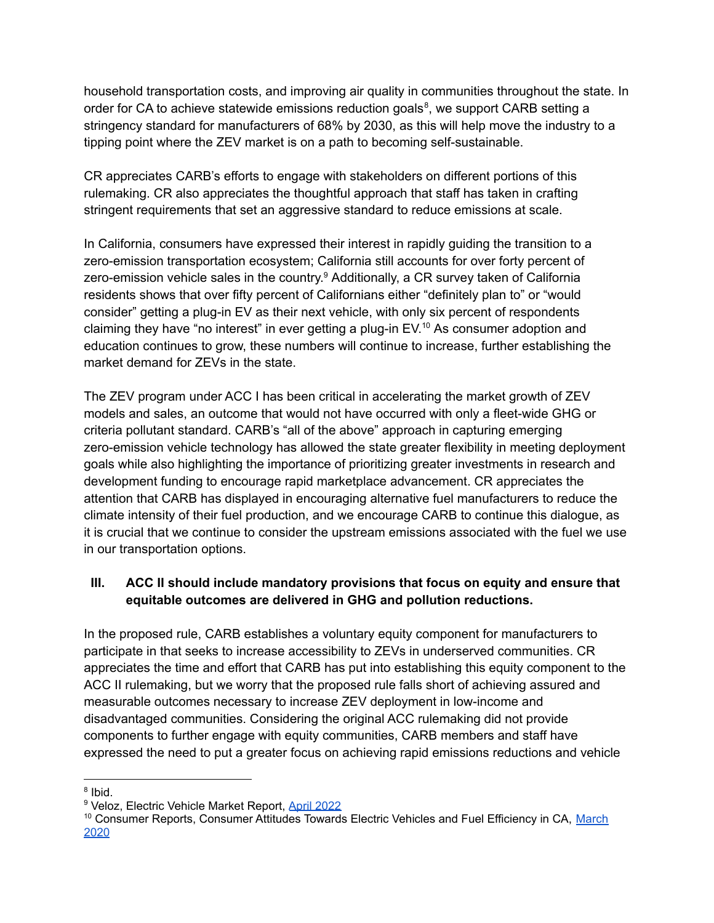household transportation costs, and improving air quality in communities throughout the state. In order for CA to achieve statewide emissions reduction goals<sup>8</sup>, we support CARB setting a stringency standard for manufacturers of 68% by 2030, as this will help move the industry to a tipping point where the ZEV market is on a path to becoming self-sustainable.

CR appreciates CARB's efforts to engage with stakeholders on different portions of this rulemaking. CR also appreciates the thoughtful approach that staff has taken in crafting stringent requirements that set an aggressive standard to reduce emissions at scale.

In California, consumers have expressed their interest in rapidly guiding the transition to a zero-emission transportation ecosystem; California still accounts for over forty percent of zero-emission vehicle sales in the country.<sup>9</sup> Additionally, a CR survey taken of California residents shows that over fifty percent of Californians either "definitely plan to" or "would consider" getting a plug-in EV as their next vehicle, with only six percent of respondents claiming they have "no interest" in ever getting a plug-in EV. <sup>10</sup> As consumer adoption and education continues to grow, these numbers will continue to increase, further establishing the market demand for ZEVs in the state.

The ZEV program under ACC I has been critical in accelerating the market growth of ZEV models and sales, an outcome that would not have occurred with only a fleet-wide GHG or criteria pollutant standard. CARB's "all of the above" approach in capturing emerging zero-emission vehicle technology has allowed the state greater flexibility in meeting deployment goals while also highlighting the importance of prioritizing greater investments in research and development funding to encourage rapid marketplace advancement. CR appreciates the attention that CARB has displayed in encouraging alternative fuel manufacturers to reduce the climate intensity of their fuel production, and we encourage CARB to continue this dialogue, as it is crucial that we continue to consider the upstream emissions associated with the fuel we use in our transportation options.

# **III. ACC II should include mandatory provisions that focus on equity and ensure that equitable outcomes are delivered in GHG and pollution reductions.**

In the proposed rule, CARB establishes a voluntary equity component for manufacturers to participate in that seeks to increase accessibility to ZEVs in underserved communities. CR appreciates the time and effort that CARB has put into establishing this equity component to the ACC II rulemaking, but we worry that the proposed rule falls short of achieving assured and measurable outcomes necessary to increase ZEV deployment in low-income and disadvantaged communities. Considering the original ACC rulemaking did not provide components to further engage with equity communities, CARB members and staff have expressed the need to put a greater focus on achieving rapid emissions reductions and vehicle

<sup>&</sup>lt;sup>8</sup> Ibid.

<sup>&</sup>lt;sup>9</sup> Veloz, Electric Vehicle Market Report, April [2022](https://www.veloz.org/ev-market-report/)

<sup>&</sup>lt;sup>10</sup> Consumer Reports, Consumer Attitudes Towards Electric Vehicles and Fuel Efficiency in CA, [March](https://advocacy.consumerreports.org/wp-content/uploads/2021/03/California-EV-FE-Survey-Report-3.8.21.pdf) [2020](https://advocacy.consumerreports.org/wp-content/uploads/2021/03/California-EV-FE-Survey-Report-3.8.21.pdf)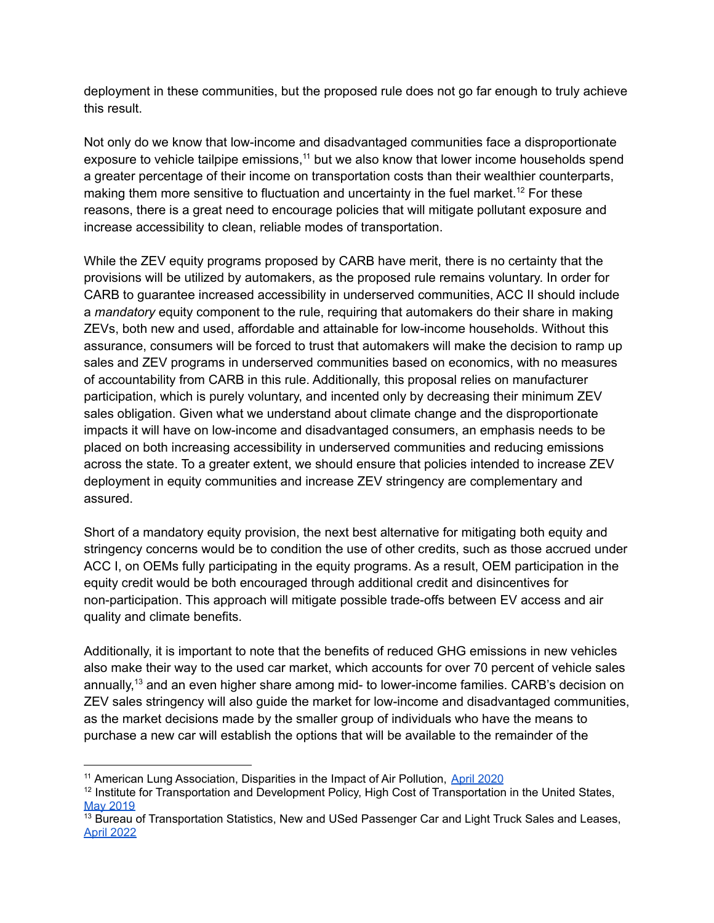deployment in these communities, but the proposed rule does not go far enough to truly achieve this result.

Not only do we know that low-income and disadvantaged communities face a disproportionate exposure to vehicle tailpipe emissions,<sup>11</sup> but we also know that lower income households spend a greater percentage of their income on transportation costs than their wealthier counterparts, making them more sensitive to fluctuation and uncertainty in the fuel market.<sup>12</sup> For these reasons, there is a great need to encourage policies that will mitigate pollutant exposure and increase accessibility to clean, reliable modes of transportation.

While the ZEV equity programs proposed by CARB have merit, there is no certainty that the provisions will be utilized by automakers, as the proposed rule remains voluntary. In order for CARB to guarantee increased accessibility in underserved communities, ACC II should include a *mandatory* equity component to the rule, requiring that automakers do their share in making ZEVs, both new and used, affordable and attainable for low-income households. Without this assurance, consumers will be forced to trust that automakers will make the decision to ramp up sales and ZEV programs in underserved communities based on economics, with no measures of accountability from CARB in this rule. Additionally, this proposal relies on manufacturer participation, which is purely voluntary, and incented only by decreasing their minimum ZEV sales obligation. Given what we understand about climate change and the disproportionate impacts it will have on low-income and disadvantaged consumers, an emphasis needs to be placed on both increasing accessibility in underserved communities and reducing emissions across the state. To a greater extent, we should ensure that policies intended to increase ZEV deployment in equity communities and increase ZEV stringency are complementary and assured.

Short of a mandatory equity provision, the next best alternative for mitigating both equity and stringency concerns would be to condition the use of other credits, such as those accrued under ACC I, on OEMs fully participating in the equity programs. As a result, OEM participation in the equity credit would be both encouraged through additional credit and disincentives for non-participation. This approach will mitigate possible trade-offs between EV access and air quality and climate benefits.

Additionally, it is important to note that the benefits of reduced GHG emissions in new vehicles also make their way to the used car market, which accounts for over 70 percent of vehicle sales annually,<sup>13</sup> and an even higher share among mid- to lower-income families. CARB's decision on ZEV sales stringency will also guide the market for low-income and disadvantaged communities, as the market decisions made by the smaller group of individuals who have the means to purchase a new car will establish the options that will be available to the remainder of the

<sup>&</sup>lt;sup>11</sup> American Lung Association, Disparities in the Impact of Air Pollution, April [2020](https://www.lung.org/clean-air/outdoors/who-is-at-risk/disparities)

<sup>&</sup>lt;sup>12</sup> Institute for Transportation and Development Policy, High Cost of Transportation in the United States, May [2019](https://www.itdp.org/2019/05/23/high-cost-transportation-united-states/)

<sup>&</sup>lt;sup>13</sup> Bureau of Transportation Statistics, New and USed Passenger Car and Light Truck Sales and Leases, April [2022](https://www.bts.gov/content/new-and-used-passenger-car-sales-and-leases-thousands-vehicles)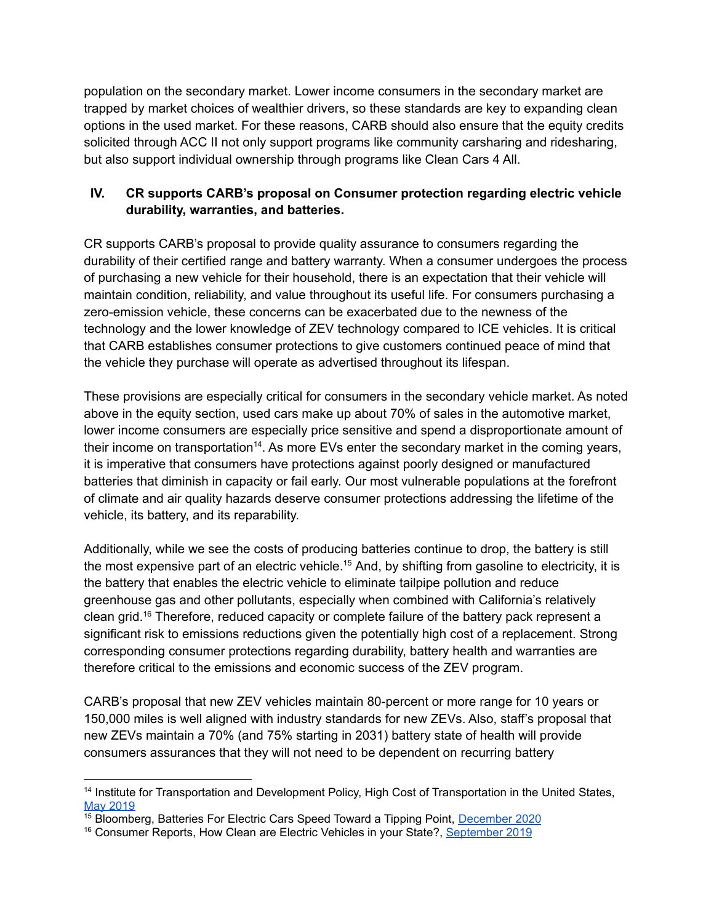population on the secondary market. Lower income consumers in the secondary market are trapped by market choices of wealthier drivers, so these standards are key to expanding clean options in the used market. For these reasons, CARB should also ensure that the equity credits solicited through ACC II not only support programs like community carsharing and ridesharing, but also support individual ownership through programs like Clean Cars 4 All.

#### **IV. CR supports CARB's proposal on Consumer protection regarding electric vehicle durability, warranties, and batteries.**

CR supports CARB's proposal to provide quality assurance to consumers regarding the durability of their certified range and battery warranty. When a consumer undergoes the process of purchasing a new vehicle for their household, there is an expectation that their vehicle will maintain condition, reliability, and value throughout its useful life. For consumers purchasing a zero-emission vehicle, these concerns can be exacerbated due to the newness of the technology and the lower knowledge of ZEV technology compared to ICE vehicles. It is critical that CARB establishes consumer protections to give customers continued peace of mind that the vehicle they purchase will operate as advertised throughout its lifespan.

These provisions are especially critical for consumers in the secondary vehicle market. As noted above in the equity section, used cars make up about 70% of sales in the automotive market, lower income consumers are especially price sensitive and spend a disproportionate amount of their income on transportation<sup>14</sup>. As more EVs enter the secondary market in the coming years, it is imperative that consumers have protections against poorly designed or manufactured batteries that diminish in capacity or fail early. Our most vulnerable populations at the forefront of climate and air quality hazards deserve consumer protections addressing the lifetime of the vehicle, its battery, and its reparability.

Additionally, while we see the costs of producing batteries continue to drop, the battery is still the most expensive part of an electric vehicle.<sup>15</sup> And, by shifting from gasoline to electricity, it is the battery that enables the electric vehicle to eliminate tailpipe pollution and reduce greenhouse gas and other pollutants, especially when combined with California's relatively clean grid.<sup>16</sup> Therefore, reduced capacity or complete failure of the battery pack represent a significant risk to emissions reductions given the potentially high cost of a replacement. Strong corresponding consumer protections regarding durability, battery health and warranties are therefore critical to the emissions and economic success of the ZEV program.

CARB's proposal that new ZEV vehicles maintain 80-percent or more range for 10 years or 150,000 miles is well aligned with industry standards for new ZEVs. Also, staff's proposal that new ZEVs maintain a 70% (and 75% starting in 2031) battery state of health will provide consumers assurances that they will not need to be dependent on recurring battery

<sup>&</sup>lt;sup>14</sup> Institute for Transportation and Development Policy, High Cost of Transportation in the United States, May [2019](https://www.itdp.org/2019/05/23/high-cost-transportation-united-states/)

<sup>&</sup>lt;sup>15</sup> Bloomberg, Batteries For Electric Cars Speed Toward a Tipping Point, [December](https://www.bloomberg.com/news/articles/2020-12-16/electric-cars-are-about-to-be-as-cheap-as-gas-powered-models) 2020

<sup>&</sup>lt;sup>16</sup> Consumer Reports, How Clean are Electric Vehicles in your State?, [September](https://advocacy.consumerreports.org/research/how-clean-are-electric-vehicles-in-your-state/) 2019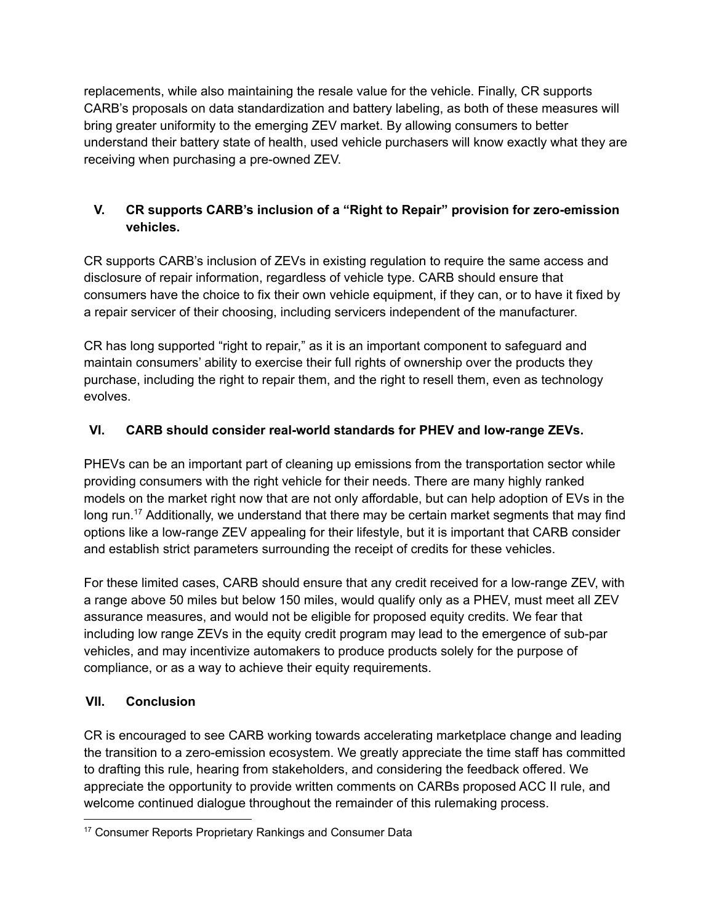replacements, while also maintaining the resale value for the vehicle. Finally, CR supports CARB's proposals on data standardization and battery labeling, as both of these measures will bring greater uniformity to the emerging ZEV market. By allowing consumers to better understand their battery state of health, used vehicle purchasers will know exactly what they are receiving when purchasing a pre-owned ZEV.

# **V. CR supports CARB's inclusion of a "Right to Repair" provision for zero-emission vehicles.**

CR supports CARB's inclusion of ZEVs in existing regulation to require the same access and disclosure of repair information, regardless of vehicle type. CARB should ensure that consumers have the choice to fix their own vehicle equipment, if they can, or to have it fixed by a repair servicer of their choosing, including servicers independent of the manufacturer.

CR has long supported "right to repair," as it is an important component to safeguard and maintain consumers' ability to exercise their full rights of ownership over the products they purchase, including the right to repair them, and the right to resell them, even as technology evolves.

# **VI. CARB should consider real-world standards for PHEV and low-range ZEVs.**

PHEVs can be an important part of cleaning up emissions from the transportation sector while providing consumers with the right vehicle for their needs. There are many highly ranked models on the market right now that are not only affordable, but can help adoption of EVs in the long run.<sup>17</sup> Additionally, we understand that there may be certain market segments that may find options like a low-range ZEV appealing for their lifestyle, but it is important that CARB consider and establish strict parameters surrounding the receipt of credits for these vehicles.

For these limited cases, CARB should ensure that any credit received for a low-range ZEV, with a range above 50 miles but below 150 miles, would qualify only as a PHEV, must meet all ZEV assurance measures, and would not be eligible for proposed equity credits. We fear that including low range ZEVs in the equity credit program may lead to the emergence of sub-par vehicles, and may incentivize automakers to produce products solely for the purpose of compliance, or as a way to achieve their equity requirements.

# **VII. Conclusion**

CR is encouraged to see CARB working towards accelerating marketplace change and leading the transition to a zero-emission ecosystem. We greatly appreciate the time staff has committed to drafting this rule, hearing from stakeholders, and considering the feedback offered. We appreciate the opportunity to provide written comments on CARBs proposed ACC II rule, and welcome continued dialogue throughout the remainder of this rulemaking process.

<sup>&</sup>lt;sup>17</sup> Consumer Reports Proprietary Rankings and Consumer Data